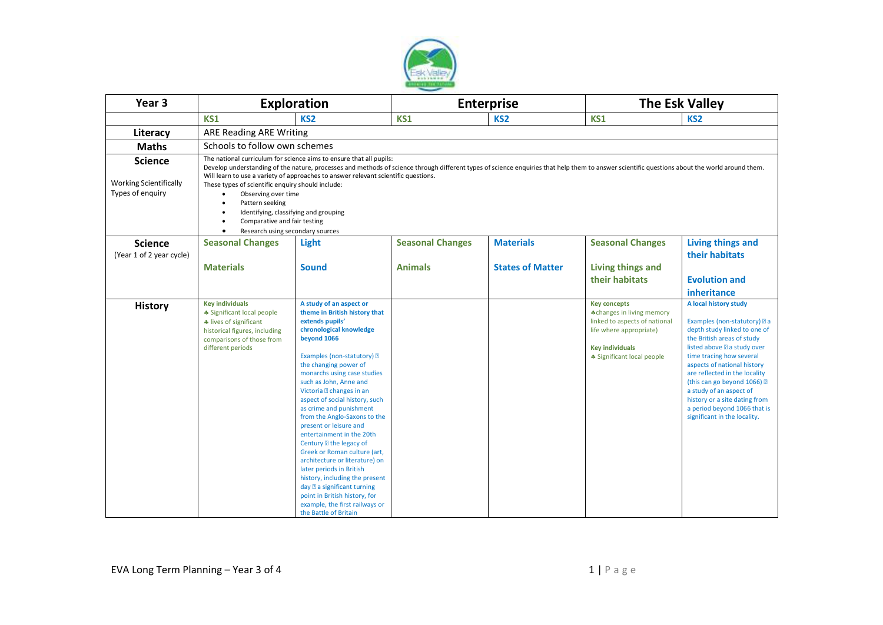

| Year <sub>3</sub>                                                   | <b>Exploration</b>                                                                                                                                                                                                                                                                                                                                                                                                                                                                                                                                                                                                 |                                                                                                                                                                                                                                                                                                                                                                                                                                                                                                                                                                                                                                                                                                                             | <b>Enterprise</b>       |                         | <b>The Esk Valley</b>                                                                                                                                                |                                                                                                                                                                                                                                                                                                                                                                                                         |
|---------------------------------------------------------------------|--------------------------------------------------------------------------------------------------------------------------------------------------------------------------------------------------------------------------------------------------------------------------------------------------------------------------------------------------------------------------------------------------------------------------------------------------------------------------------------------------------------------------------------------------------------------------------------------------------------------|-----------------------------------------------------------------------------------------------------------------------------------------------------------------------------------------------------------------------------------------------------------------------------------------------------------------------------------------------------------------------------------------------------------------------------------------------------------------------------------------------------------------------------------------------------------------------------------------------------------------------------------------------------------------------------------------------------------------------------|-------------------------|-------------------------|----------------------------------------------------------------------------------------------------------------------------------------------------------------------|---------------------------------------------------------------------------------------------------------------------------------------------------------------------------------------------------------------------------------------------------------------------------------------------------------------------------------------------------------------------------------------------------------|
|                                                                     | <b>KS1</b>                                                                                                                                                                                                                                                                                                                                                                                                                                                                                                                                                                                                         | KS <sub>2</sub>                                                                                                                                                                                                                                                                                                                                                                                                                                                                                                                                                                                                                                                                                                             | <b>KS1</b>              | KS <sub>2</sub>         | <b>KS1</b>                                                                                                                                                           | KS <sub>2</sub>                                                                                                                                                                                                                                                                                                                                                                                         |
| Literacy                                                            | <b>ARE Reading ARE Writing</b>                                                                                                                                                                                                                                                                                                                                                                                                                                                                                                                                                                                     |                                                                                                                                                                                                                                                                                                                                                                                                                                                                                                                                                                                                                                                                                                                             |                         |                         |                                                                                                                                                                      |                                                                                                                                                                                                                                                                                                                                                                                                         |
| <b>Maths</b>                                                        | Schools to follow own schemes                                                                                                                                                                                                                                                                                                                                                                                                                                                                                                                                                                                      |                                                                                                                                                                                                                                                                                                                                                                                                                                                                                                                                                                                                                                                                                                                             |                         |                         |                                                                                                                                                                      |                                                                                                                                                                                                                                                                                                                                                                                                         |
| <b>Science</b><br><b>Working Scientifically</b><br>Types of enquiry | The national curriculum for science aims to ensure that all pupils:<br>Develop understanding of the nature, processes and methods of science through different types of science enquiries that help them to answer scientific questions about the world around them.<br>Will learn to use a variety of approaches to answer relevant scientific questions.<br>These types of scientific enquiry should include:<br>Observing over time<br>$\bullet$<br>Pattern seeking<br>$\bullet$<br>Identifying, classifying and grouping<br>٠<br>Comparative and fair testing<br>$\bullet$<br>Research using secondary sources |                                                                                                                                                                                                                                                                                                                                                                                                                                                                                                                                                                                                                                                                                                                             |                         |                         |                                                                                                                                                                      |                                                                                                                                                                                                                                                                                                                                                                                                         |
| <b>Science</b>                                                      | <b>Seasonal Changes</b>                                                                                                                                                                                                                                                                                                                                                                                                                                                                                                                                                                                            | Light                                                                                                                                                                                                                                                                                                                                                                                                                                                                                                                                                                                                                                                                                                                       | <b>Seasonal Changes</b> | <b>Materials</b>        | <b>Seasonal Changes</b>                                                                                                                                              | <b>Living things and</b>                                                                                                                                                                                                                                                                                                                                                                                |
| (Year 1 of 2 year cycle)                                            | <b>Materials</b>                                                                                                                                                                                                                                                                                                                                                                                                                                                                                                                                                                                                   | <b>Sound</b>                                                                                                                                                                                                                                                                                                                                                                                                                                                                                                                                                                                                                                                                                                                | <b>Animals</b>          | <b>States of Matter</b> | <b>Living things and</b><br>their habitats                                                                                                                           | their habitats<br><b>Evolution and</b><br>inheritance                                                                                                                                                                                                                                                                                                                                                   |
| <b>History</b>                                                      | <b>Key individuals</b><br>* Significant local people<br>* lives of significant<br>historical figures, including<br>comparisons of those from<br>different periods                                                                                                                                                                                                                                                                                                                                                                                                                                                  | A study of an aspect or<br>theme in British history that<br>extends pupils'<br>chronological knowledge<br>beyond 1066<br>Examples (non-statutory) 2<br>the changing power of<br>monarchs using case studies<br>such as John, Anne and<br>Victoria <b>D</b> changes in an<br>aspect of social history, such<br>as crime and punishment<br>from the Anglo-Saxons to the<br>present or leisure and<br>entertainment in the 20th<br>Century <b>let</b> the legacy of<br>Greek or Roman culture (art,<br>architecture or literature) on<br>later periods in British<br>history, including the present<br>day 2 a significant turning<br>point in British history, for<br>example, the first railways or<br>the Battle of Britain |                         |                         | <b>Key concepts</b><br>*changes in living memory<br>linked to aspects of national<br>life where appropriate)<br><b>Key individuals</b><br>* Significant local people | A local history study<br>Examples (non-statutory) a a<br>depth study linked to one of<br>the British areas of study<br>listed above a study over<br>time tracing how several<br>aspects of national history<br>are reflected in the locality<br>(this can go beyond 1066) ?<br>a study of an aspect of<br>history or a site dating from<br>a period beyond 1066 that is<br>significant in the locality. |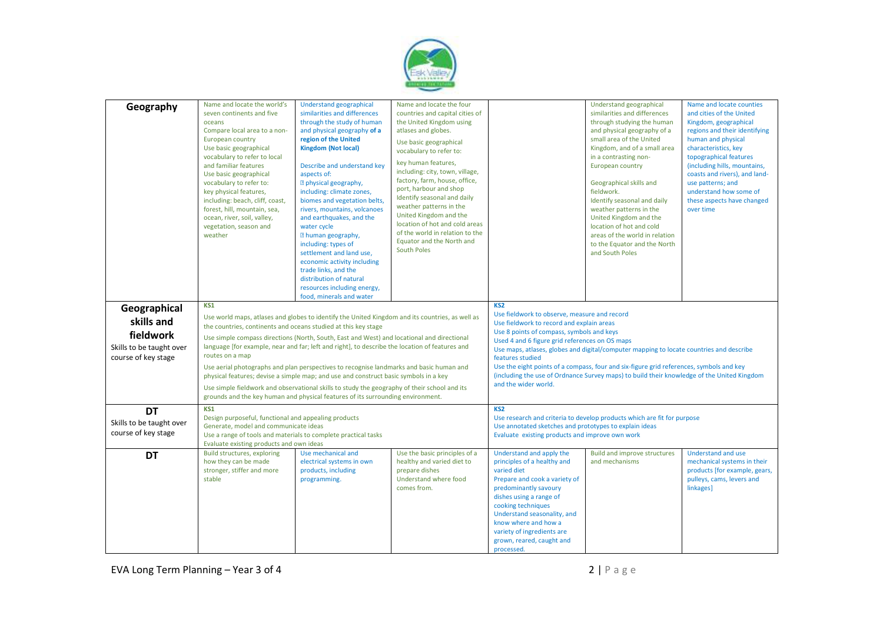

| Geography                | Name and locate the world's                                                                     | Understand geographical                                                                 | Name and locate the four                     |                                                                                         | Understand geographical                                                                    | Name and locate counties                                 |
|--------------------------|-------------------------------------------------------------------------------------------------|-----------------------------------------------------------------------------------------|----------------------------------------------|-----------------------------------------------------------------------------------------|--------------------------------------------------------------------------------------------|----------------------------------------------------------|
|                          | seven continents and five                                                                       | similarities and differences                                                            | countries and capital cities of              |                                                                                         | similarities and differences                                                               | and cities of the United                                 |
|                          | oceans                                                                                          | through the study of human                                                              | the United Kingdom using                     |                                                                                         | through studying the human                                                                 | Kingdom, geographical                                    |
|                          | Compare local area to a non-                                                                    | and physical geography of a                                                             | atlases and globes.                          |                                                                                         | and physical geography of a                                                                | regions and their identifying                            |
|                          | European country                                                                                | region of the United                                                                    | Use basic geographical                       |                                                                                         | small area of the United                                                                   | human and physical                                       |
|                          | Use basic geographical                                                                          | <b>Kingdom (Not local)</b>                                                              | vocabulary to refer to:                      |                                                                                         | Kingdom, and of a small area                                                               | characteristics, key                                     |
|                          | vocabulary to refer to local                                                                    |                                                                                         | key human features,                          |                                                                                         | in a contrasting non-                                                                      | topographical features                                   |
|                          | and familiar features                                                                           | Describe and understand key                                                             | including: city, town, village,              |                                                                                         | European country                                                                           | (including hills, mountains,                             |
|                          | Use basic geographical                                                                          | aspects of:                                                                             | factory, farm, house, office,                |                                                                                         |                                                                                            | coasts and rivers), and land-                            |
|                          | vocabulary to refer to:<br>key physical features,                                               | <b>Depaysical geography,</b><br>including: climate zones,                               | port, harbour and shop                       |                                                                                         | Geographical skills and<br>fieldwork.                                                      | use patterns; and<br>understand how some of              |
|                          | including: beach, cliff, coast,                                                                 | biomes and vegetation belts,                                                            | Identify seasonal and daily                  |                                                                                         | Identify seasonal and daily                                                                | these aspects have changed                               |
|                          | forest, hill, mountain, sea,                                                                    | rivers, mountains, volcanoes                                                            | weather patterns in the                      |                                                                                         | weather patterns in the                                                                    | over time                                                |
|                          | ocean, river, soil, valley,                                                                     | and earthquakes, and the                                                                | United Kingdom and the                       |                                                                                         | United Kingdom and the                                                                     |                                                          |
|                          | vegetation, season and                                                                          | water cycle                                                                             | location of hot and cold areas               |                                                                                         | location of hot and cold                                                                   |                                                          |
|                          | weather                                                                                         | <b>Z</b> human geography,                                                               | of the world in relation to the              |                                                                                         | areas of the world in relation                                                             |                                                          |
|                          |                                                                                                 | including: types of                                                                     | Equator and the North and                    |                                                                                         | to the Equator and the North                                                               |                                                          |
|                          |                                                                                                 | settlement and land use,                                                                | South Poles                                  |                                                                                         | and South Poles                                                                            |                                                          |
|                          |                                                                                                 | economic activity including                                                             |                                              |                                                                                         |                                                                                            |                                                          |
|                          |                                                                                                 | trade links, and the                                                                    |                                              |                                                                                         |                                                                                            |                                                          |
|                          |                                                                                                 | distribution of natural                                                                 |                                              |                                                                                         |                                                                                            |                                                          |
|                          |                                                                                                 | resources including energy,                                                             |                                              |                                                                                         |                                                                                            |                                                          |
|                          |                                                                                                 | food, minerals and water                                                                |                                              |                                                                                         |                                                                                            |                                                          |
| Geographical             | KS1                                                                                             |                                                                                         |                                              | KS <sub>2</sub>                                                                         |                                                                                            |                                                          |
|                          |                                                                                                 |                                                                                         |                                              | Use fieldwork to observe, measure and record                                            |                                                                                            |                                                          |
| skills and               | Use world maps, atlases and globes to identify the United Kingdom and its countries, as well as |                                                                                         |                                              | Use fieldwork to record and explain areas                                               |                                                                                            |                                                          |
| fieldwork                | the countries, continents and oceans studied at this key stage                                  |                                                                                         |                                              | Use 8 points of compass, symbols and keys                                               |                                                                                            |                                                          |
|                          | Use simple compass directions (North, South, East and West) and locational and directional      |                                                                                         |                                              | Used 4 and 6 figure grid references on OS maps                                          |                                                                                            |                                                          |
| Skills to be taught over | language [for example, near and far; left and right], to describe the location of features and  |                                                                                         |                                              | Use maps, atlases, globes and digital/computer mapping to locate countries and describe |                                                                                            |                                                          |
| course of key stage      | routes on a map                                                                                 |                                                                                         |                                              | features studied                                                                        |                                                                                            |                                                          |
|                          |                                                                                                 | Use aerial photographs and plan perspectives to recognise landmarks and basic human and |                                              |                                                                                         | Use the eight points of a compass, four and six-figure grid references, symbols and key    |                                                          |
|                          |                                                                                                 | physical features; devise a simple map; and use and construct basic symbols in a key    |                                              |                                                                                         | (including the use of Ordnance Survey maps) to build their knowledge of the United Kingdom |                                                          |
|                          | Use simple fieldwork and observational skills to study the geography of their school and its    |                                                                                         | and the wider world.                         |                                                                                         |                                                                                            |                                                          |
|                          |                                                                                                 | grounds and the key human and physical features of its surrounding environment.         |                                              |                                                                                         |                                                                                            |                                                          |
| DT                       | KS1                                                                                             |                                                                                         |                                              | KS <sub>2</sub>                                                                         |                                                                                            |                                                          |
| Skills to be taught over | Design purposeful, functional and appealing products                                            |                                                                                         |                                              | Use research and criteria to develop products which are fit for purpose                 |                                                                                            |                                                          |
|                          | Generate, model and communicate ideas                                                           |                                                                                         |                                              | Use annotated sketches and prototypes to explain ideas                                  |                                                                                            |                                                          |
| course of key stage      | Use a range of tools and materials to complete practical tasks                                  |                                                                                         |                                              | Evaluate existing products and improve own work                                         |                                                                                            |                                                          |
|                          | Evaluate existing products and own ideas                                                        |                                                                                         |                                              |                                                                                         |                                                                                            |                                                          |
| <b>DT</b>                | Build structures, exploring<br>how they can be made                                             | Use mechanical and<br>electrical systems in own                                         | Use the basic principles of a                | Understand and apply the<br>principles of a healthy and                                 | <b>Build and improve structures</b><br>and mechanisms                                      | <b>Understand and use</b><br>mechanical systems in their |
|                          | stronger, stiffer and more                                                                      | products, including                                                                     | healthy and varied diet to<br>prepare dishes | varied diet                                                                             |                                                                                            | products [for example, gears,                            |
|                          | stable                                                                                          | programming.                                                                            | Understand where food                        | Prepare and cook a variety of                                                           |                                                                                            | pulleys, cams, levers and                                |
|                          |                                                                                                 |                                                                                         | comes from.                                  | predominantly savoury                                                                   |                                                                                            | linkages]                                                |
|                          |                                                                                                 |                                                                                         |                                              | dishes using a range of                                                                 |                                                                                            |                                                          |
|                          |                                                                                                 |                                                                                         |                                              | cooking techniques                                                                      |                                                                                            |                                                          |
|                          |                                                                                                 |                                                                                         |                                              | Understand seasonality, and                                                             |                                                                                            |                                                          |
|                          |                                                                                                 |                                                                                         |                                              | know where and how a                                                                    |                                                                                            |                                                          |
|                          |                                                                                                 |                                                                                         |                                              | variety of ingredients are                                                              |                                                                                            |                                                          |
|                          |                                                                                                 |                                                                                         |                                              | grown, reared, caught and                                                               |                                                                                            |                                                          |
|                          |                                                                                                 |                                                                                         |                                              | processed.                                                                              |                                                                                            |                                                          |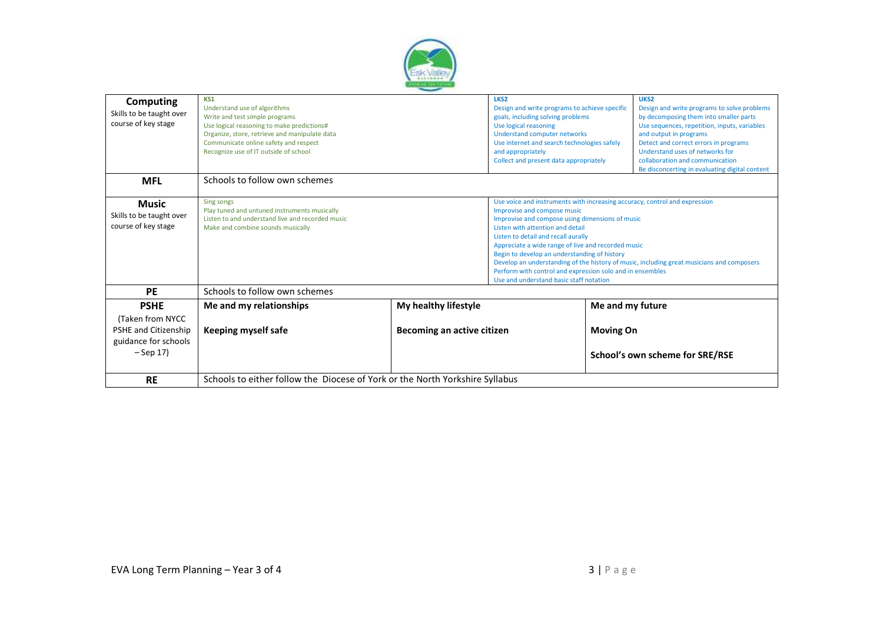

| Computing<br>Skills to be taught over<br>course of key stage                                    | KS1<br>Understand use of algorithms<br>Write and test simple programs<br>Use logical reasoning to make predictions#<br>Organize, store, retrieve and manipulate data<br>Communicate online safety and respect<br>Recognize use of IT outside of school |                                                    | LKS <sub>2</sub><br>Design and write programs to achieve specific<br>goals, including solving problems<br>Use logical reasoning<br><b>Understand computer networks</b><br>Use internet and search technologies safely<br>and appropriately<br>Collect and present data appropriately                                                                                                                                                                                                                                                               | UKS <sub>2</sub><br>Design and write programs to solve problems<br>by decomposing them into smaller parts<br>Use sequences, repetition, inputs, variables<br>and output in programs<br>Detect and correct errors in programs<br>Understand uses of networks for<br>collaboration and communication<br>Be disconcerting in evaluating digital content |  |
|-------------------------------------------------------------------------------------------------|--------------------------------------------------------------------------------------------------------------------------------------------------------------------------------------------------------------------------------------------------------|----------------------------------------------------|----------------------------------------------------------------------------------------------------------------------------------------------------------------------------------------------------------------------------------------------------------------------------------------------------------------------------------------------------------------------------------------------------------------------------------------------------------------------------------------------------------------------------------------------------|------------------------------------------------------------------------------------------------------------------------------------------------------------------------------------------------------------------------------------------------------------------------------------------------------------------------------------------------------|--|
| <b>MFL</b>                                                                                      | Schools to follow own schemes                                                                                                                                                                                                                          |                                                    |                                                                                                                                                                                                                                                                                                                                                                                                                                                                                                                                                    |                                                                                                                                                                                                                                                                                                                                                      |  |
| <b>Music</b><br>Skills to be taught over<br>course of key stage                                 | Sing songs<br>Play tuned and untuned instruments musically<br>Listen to and understand live and recorded music<br>Make and combine sounds musically                                                                                                    |                                                    | Use voice and instruments with increasing accuracy, control and expression<br>Improvise and compose music<br>Improvise and compose using dimensions of music<br>Listen with attention and detail<br>Listen to detail and recall aurally<br>Appreciate a wide range of live and recorded music<br>Begin to develop an understanding of history<br>Develop an understanding of the history of music, including great musicians and composers<br>Perform with control and expression solo and in ensembles<br>Use and understand basic staff notation |                                                                                                                                                                                                                                                                                                                                                      |  |
| <b>PE</b>                                                                                       | Schools to follow own schemes                                                                                                                                                                                                                          |                                                    |                                                                                                                                                                                                                                                                                                                                                                                                                                                                                                                                                    |                                                                                                                                                                                                                                                                                                                                                      |  |
| <b>PSHE</b><br>(Taken from NYCC)<br>PSHE and Citizenship<br>guidance for schools<br>$-$ Sep 17) | Me and my relationships<br>Keeping myself safe                                                                                                                                                                                                         | My healthy lifestyle<br>Becoming an active citizen |                                                                                                                                                                                                                                                                                                                                                                                                                                                                                                                                                    | Me and my future<br><b>Moving On</b><br>School's own scheme for SRE/RSE                                                                                                                                                                                                                                                                              |  |
| <b>RE</b>                                                                                       | Schools to either follow the Diocese of York or the North Yorkshire Syllabus                                                                                                                                                                           |                                                    |                                                                                                                                                                                                                                                                                                                                                                                                                                                                                                                                                    |                                                                                                                                                                                                                                                                                                                                                      |  |